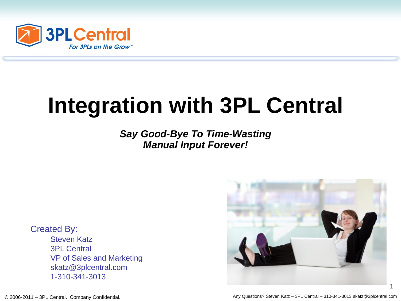

# **Integration with 3PL Central**

*Say Good-Bye To Time-Wasting Manual Input Forever!*

Created By: Steven Katz 3PL Central VP of Sales and Marketing skatz@3plcentral.com 1-310-341-3013

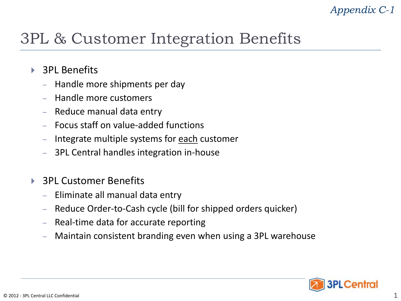### *Appendix C-1*

### 3PL & Customer Integration Benefits

- ▶ 3PL Benefits
	- Handle more shipments per day
	- Handle more customers
	- Reduce manual data entry
	- Focus staff on value-added functions
	- Integrate multiple systems for each customer
	- 3PL Central handles integration in-house
- ▶ 3PL Customer Benefits
	- Eliminate all manual data entry
	- Reduce Order-to-Cash cycle (bill for shipped orders quicker)
	- Real-time data for accurate reporting
	- Maintain consistent branding even when using a 3PL warehouse

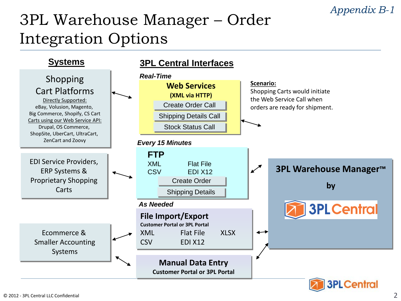#### *Appendix B-1*

## 3PL Warehouse Manager – Order Integration Options

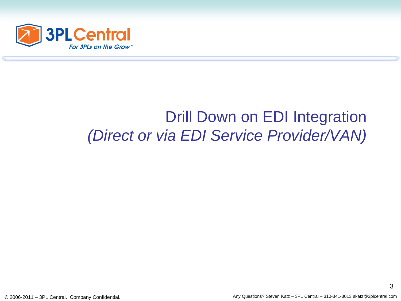

### Drill Down on EDI Integration *(Direct or via EDI Service Provider/VAN)*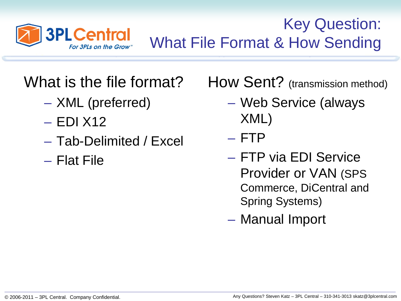

Key Question: What File Format & How Sending

# What is the file format?

- XML (preferred)
- EDI X12
- Tab-Delimited / Excel
- Flat File

How Sent? (transmission method)

- Web Service (always XML)
- FTP
- FTP via EDI Service Provider or VAN (SPS Commerce, DiCentral and Spring Systems)
- Manual Import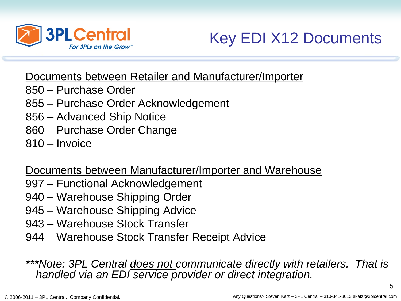

Key EDI X12 Documents

Documents between Retailer and Manufacturer/Importer

- 850 Purchase Order
- 855 Purchase Order Acknowledgement
- 856 Advanced Ship Notice
- 860 Purchase Order Change
- 810 Invoice

Documents between Manufacturer/Importer and Warehouse

- 997 Functional Acknowledgement
- 940 Warehouse Shipping Order
- 945 Warehouse Shipping Advice
- 943 Warehouse Stock Transfer
- 944 Warehouse Stock Transfer Receipt Advice

*\*\*\*Note: 3PL Central does not communicate directly with retailers. That is handled via an EDI service provider or direct integration.*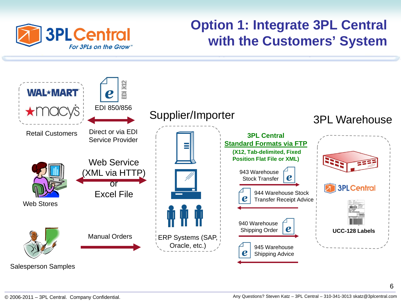

### **Option 1: Integrate 3PL Central with the Customers' System**



© 2006-2011 – 3PL Central. Company Confidential. Any Questions? Steven Katz – 3PL Central – 310-341-3013 skatz@3plcentral.com

6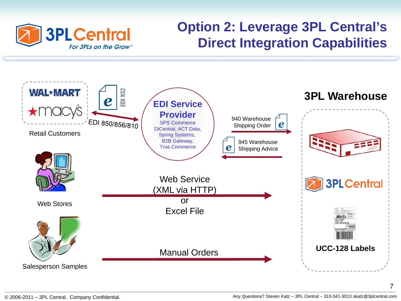

### **Option 2: Leverage 3PL Central's Direct Integration Capabilities**



7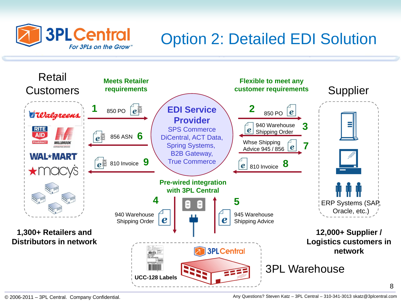

# Option 2: Detailed EDI Solution

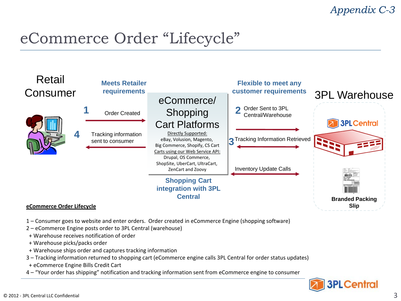#### *Appendix C-3*

### eCommerce Order "Lifecycle"



- 1 Consumer goes to website and enter orders. Order created in eCommerce Engine (shopping software)
- 2 eCommerce Engine posts order to 3PL Central (warehouse)
- + Warehouse receives notification of order
- + Warehouse picks/packs order
- + Warehouse ships order and captures tracking information
- 3 Tracking information returned to shopping cart (eCommerce engine calls 3PL Central for order status updates)
- + eCommerce Engine Bills Credit Cart
- 4 "Your order has shipping" notification and tracking information sent from eCommerce engine to consumer